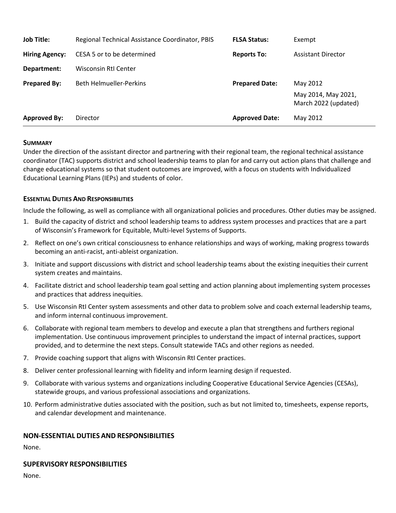| <b>Job Title:</b>     | Regional Technical Assistance Coordinator, PBIS | <b>FLSA Status:</b>   | Exempt                                                  |
|-----------------------|-------------------------------------------------|-----------------------|---------------------------------------------------------|
| <b>Hiring Agency:</b> | CESA 5 or to be determined                      | <b>Reports To:</b>    | <b>Assistant Director</b>                               |
| Department:           | Wisconsin RtI Center                            |                       |                                                         |
| <b>Prepared By:</b>   | <b>Beth Helmueller-Perkins</b>                  | <b>Prepared Date:</b> | May 2012<br>May 2014, May 2021,<br>March 2022 (updated) |
| <b>Approved By:</b>   | Director                                        | <b>Approved Date:</b> | May 2012                                                |

### **SUMMARY**

Under the direction of the assistant director and partnering with their regional team, the regional technical assistance coordinator (TAC) supports district and school leadership teams to plan for and carry out action plans that challenge and change educational systems so that student outcomes are improved, with a focus on students with Individualized Educational Learning Plans (IEPs) and students of color.

### **ESSENTIAL DUTIES AND RESPONSIBILITIES**

Include the following, as well as compliance with all organizational policies and procedures. Other duties may be assigned.

- 1. Build the capacity of district and school leadership teams to address system processes and practices that are a part of Wisconsin's Framework for Equitable, Multi-level Systems of Supports.
- 2. Reflect on one's own critical consciousness to enhance relationships and ways of working, making progress towards becoming an anti-racist, anti-ableist organization.
- 3. Initiate and support discussions with district and school leadership teams about the existing inequities their current system creates and maintains.
- 4. Facilitate district and school leadership team goal setting and action planning about implementing system processes and practices that address inequities.
- 5. Use Wisconsin RtI Center system assessments and other data to problem solve and coach external leadership teams, and inform internal continuous improvement.
- 6. Collaborate with regional team members to develop and execute a plan that strengthens and furthers regional implementation. Use continuous improvement principles to understand the impact of internal practices, support provided, and to determine the next steps. Consult statewide TACs and other regions as needed.
- 7. Provide coaching support that aligns with Wisconsin RtI Center practices.
- 8. Deliver center professional learning with fidelity and inform learning design if requested.
- 9. Collaborate with various systems and organizations including Cooperative Educational Service Agencies (CESAs), statewide groups, and various professional associations and organizations.
- 10. Perform administrative duties associated with the position, such as but not limited to, timesheets, expense reports, and calendar development and maintenance.

### **NON-ESSENTIAL DUTIES AND RESPONSIBILITIES**

None.

### **SUPERVISORY RESPONSIBILITIES**

None.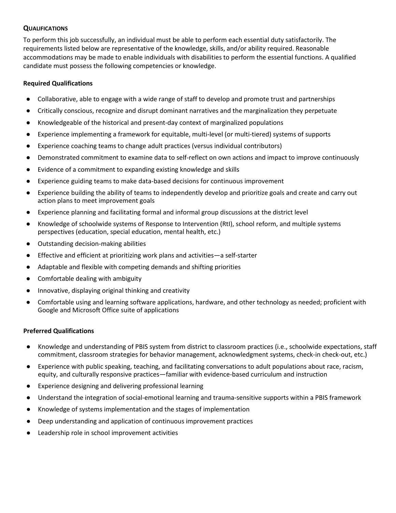# **QUALIFICATIONS**

To perform this job successfully, an individual must be able to perform each essential duty satisfactorily. The requirements listed below are representative of the knowledge, skills, and/or ability required. Reasonable accommodations may be made to enable individuals with disabilities to perform the essential functions. A qualified candidate must possess the following competencies or knowledge.

## **Required Qualifications**

- Collaborative, able to engage with a wide range of staff to develop and promote trust and partnerships
- Critically conscious, recognize and disrupt dominant narratives and the marginalization they perpetuate
- Knowledgeable of the historical and present-day context of marginalized populations
- Experience implementing a framework for equitable, multi-level (or multi-tiered) systems of supports
- Experience coaching teams to change adult practices (versus individual contributors)
- Demonstrated commitment to examine data to self-reflect on own actions and impact to improve continuously
- Evidence of a commitment to expanding existing knowledge and skills
- Experience guiding teams to make data-based decisions for continuous improvement
- Experience building the ability of teams to independently develop and prioritize goals and create and carry out action plans to meet improvement goals
- Experience planning and facilitating formal and informal group discussions at the district level
- Knowledge of schoolwide systems of Response to Intervention (RtI), school reform, and multiple systems perspectives (education, special education, mental health, etc.)
- Outstanding decision-making abilities
- Effective and efficient at prioritizing work plans and activities—a self-starter
- Adaptable and flexible with competing demands and shifting priorities
- Comfortable dealing with ambiguity
- Innovative, displaying original thinking and creativity
- Comfortable using and learning software applications, hardware, and other technology as needed; proficient with Google and Microsoft Office suite of applications

### **Preferred Qualifications**

- Knowledge and understanding of PBIS system from district to classroom practices (i.e., schoolwide expectations, staff commitment, classroom strategies for behavior management, acknowledgment systems, check-in check-out, etc.)
- Experience with public speaking, teaching, and facilitating conversations to adult populations about race, racism, equity, and culturally responsive practices—familiar with evidence-based curriculum and instruction
- Experience designing and delivering professional learning
- Understand the integration of social-emotional learning and trauma-sensitive supports within a PBIS framework
- Knowledge of systems implementation and the stages of implementation
- Deep understanding and application of continuous improvement practices
- Leadership role in school improvement activities